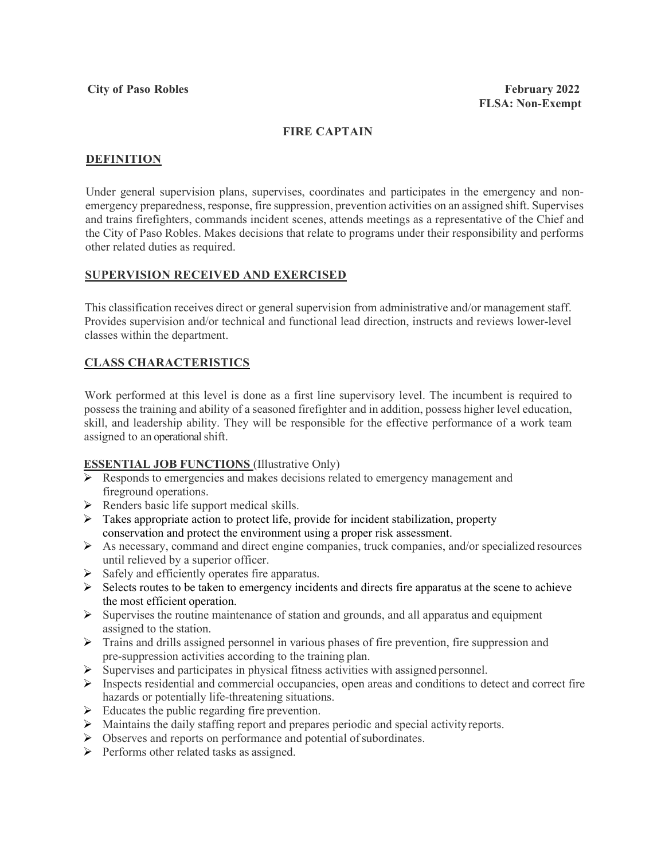## **FIRE CAPTAIN**

### **DEFINITION**

Under general supervision plans, supervises, coordinates and participates in the emergency and nonemergency preparedness, response, fire suppression, prevention activities on an assigned shift. Supervises and trains firefighters, commands incident scenes, attends meetings as a representative of the Chief and the City of Paso Robles. Makes decisions that relate to programs under their responsibility and performs other related duties as required.

#### **SUPERVISION RECEIVED AND EXERCISED**

This classification receives direct or general supervision from administrative and/or management staff. Provides supervision and/or technical and functional lead direction, instructs and reviews lower-level classes within the department.

# **CLASS CHARACTERISTICS**

Work performed at this level is done as a first line supervisory level. The incumbent is required to possess the training and ability of a seasoned firefighter and in addition, possess higher level education, skill, and leadership ability. They will be responsible for the effective performance of a work team assigned to an operational shift.

### **ESSENTIAL JOB FUNCTIONS** (Illustrative Only)

- Responds to emergencies and makes decisions related to emergency management and fireground operations.
- $\triangleright$  Renders basic life support medical skills.
- Takes appropriate action to protect life, provide for incident stabilization, property conservation and protect the environment using a proper risk assessment.
- $\triangleright$  As necessary, command and direct engine companies, truck companies, and/or specialized resources until relieved by a superior officer.
- $\triangleright$  Safely and efficiently operates fire apparatus.
- $\triangleright$  Selects routes to be taken to emergency incidents and directs fire apparatus at the scene to achieve the most efficient operation.
- $\triangleright$  Supervises the routine maintenance of station and grounds, and all apparatus and equipment assigned to the station.
- Trains and drills assigned personnel in various phases of fire prevention, fire suppression and pre-suppression activities according to the training plan.
- $\triangleright$  Supervises and participates in physical fitness activities with assigned personnel.
- $\triangleright$  Inspects residential and commercial occupancies, open areas and conditions to detect and correct fire hazards or potentially life-threatening situations.
- $\triangleright$  Educates the public regarding fire prevention.
- $\triangleright$  Maintains the daily staffing report and prepares periodic and special activity reports.
- $\triangleright$  Observes and reports on performance and potential of subordinates.
- $\triangleright$  Performs other related tasks as assigned.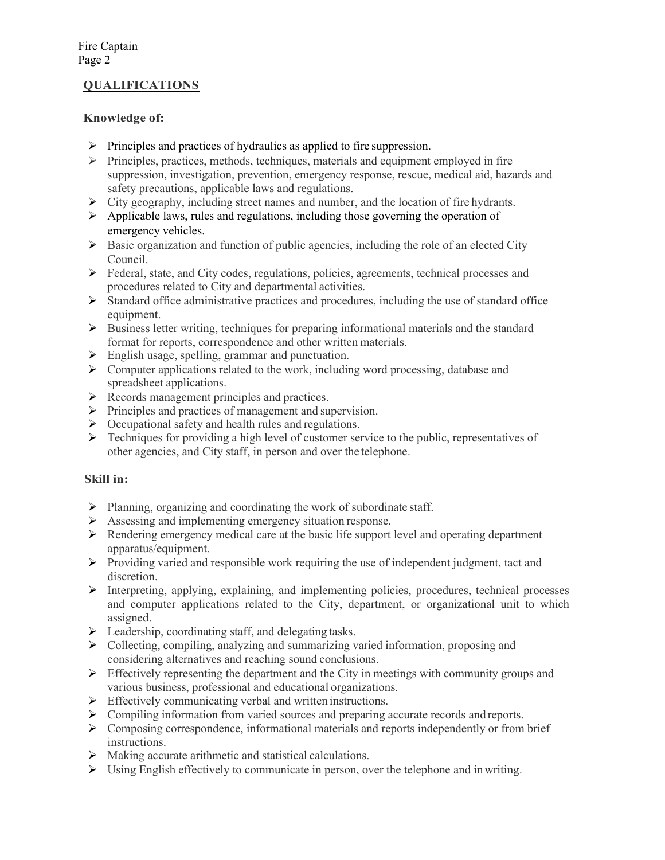# **QUALIFICATIONS**

## **Knowledge of:**

- $\triangleright$  Principles and practices of hydraulics as applied to fire suppression.
- $\triangleright$  Principles, practices, methods, techniques, materials and equipment employed in fire suppression, investigation, prevention, emergency response, rescue, medical aid, hazards and safety precautions, applicable laws and regulations.
- $\triangleright$  City geography, including street names and number, and the location of fire hydrants.
- $\triangleright$  Applicable laws, rules and regulations, including those governing the operation of emergency vehicles.
- $\triangleright$  Basic organization and function of public agencies, including the role of an elected City Council.
- $\triangleright$  Federal, state, and City codes, regulations, policies, agreements, technical processes and procedures related to City and departmental activities.
- $\triangleright$  Standard office administrative practices and procedures, including the use of standard office equipment.
- Business letter writing, techniques for preparing informational materials and the standard format for reports, correspondence and other written materials.
- $\triangleright$  English usage, spelling, grammar and punctuation.
- $\triangleright$  Computer applications related to the work, including word processing, database and spreadsheet applications.
- $\triangleright$  Records management principles and practices.
- $\triangleright$  Principles and practices of management and supervision.
- $\triangleright$  Occupational safety and health rules and regulations.
- $\triangleright$  Techniques for providing a high level of customer service to the public, representatives of other agencies, and City staff, in person and over the telephone.

### **Skill in:**

- $\triangleright$  Planning, organizing and coordinating the work of subordinate staff.
- $\triangleright$  Assessing and implementing emergency situation response.
- $\triangleright$  Rendering emergency medical care at the basic life support level and operating department apparatus/equipment.
- Providing varied and responsible work requiring the use of independent judgment, tact and discretion.
- Interpreting, applying, explaining, and implementing policies, procedures, technical processes and computer applications related to the City, department, or organizational unit to which assigned.
- $\triangleright$  Leadership, coordinating staff, and delegating tasks.
- Collecting, compiling, analyzing and summarizing varied information, proposing and considering alternatives and reaching sound conclusions.
- $\triangleright$  Effectively representing the department and the City in meetings with community groups and various business, professional and educational organizations.
- $\triangleright$  Effectively communicating verbal and written instructions.
- $\triangleright$  Compiling information from varied sources and preparing accurate records and reports.
- $\triangleright$  Composing correspondence, informational materials and reports independently or from brief instructions.
- $\triangleright$  Making accurate arithmetic and statistical calculations.
- Using English effectively to communicate in person, over the telephone and inwriting.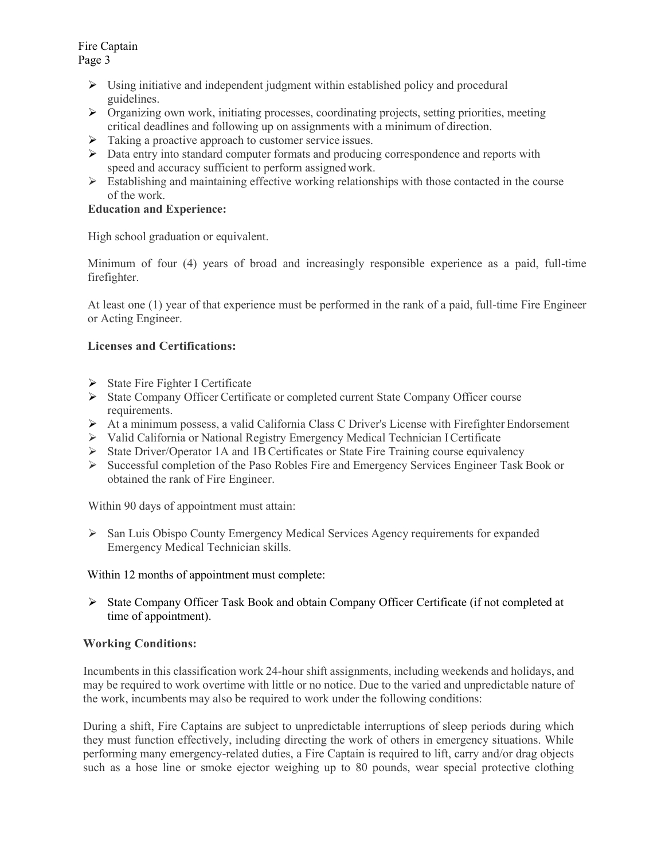Fire Captain Page 3

- $\triangleright$  Using initiative and independent judgment within established policy and procedural guidelines.
- $\triangleright$  Organizing own work, initiating processes, coordinating projects, setting priorities, meeting critical deadlines and following up on assignments with a minimum of direction.
- $\triangleright$  Taking a proactive approach to customer service issues.
- $\triangleright$  Data entry into standard computer formats and producing correspondence and reports with speed and accuracy sufficient to perform assigned work.
- $\triangleright$  Establishing and maintaining effective working relationships with those contacted in the course of the work.

# **Education and Experience:**

High school graduation or equivalent.

Minimum of four (4) years of broad and increasingly responsible experience as a paid, full-time firefighter.

At least one (1) year of that experience must be performed in the rank of a paid, full-time Fire Engineer or Acting Engineer.

## **Licenses and Certifications:**

- $\triangleright$  State Fire Fighter I Certificate
- State Company Officer Certificate or completed current State Company Officer course requirements.
- At a minimum possess, a valid California Class C Driver's License with Firefighter Endorsement
- $\triangleright$  Valid California or National Registry Emergency Medical Technician I Certificate
- $\triangleright$  State Driver/Operator 1A and 1B Certificates or State Fire Training course equivalency
- Successful completion of the Paso Robles Fire and Emergency Services Engineer Task Book or obtained the rank of Fire Engineer.

Within 90 days of appointment must attain:

 $\triangleright$  San Luis Obispo County Emergency Medical Services Agency requirements for expanded Emergency Medical Technician skills.

Within 12 months of appointment must complete:

 State Company Officer Task Book and obtain Company Officer Certificate (if not completed at time of appointment).

# **Working Conditions:**

Incumbents in this classification work 24-hour shift assignments, including weekends and holidays, and may be required to work overtime with little or no notice. Due to the varied and unpredictable nature of the work, incumbents may also be required to work under the following conditions:

During a shift, Fire Captains are subject to unpredictable interruptions of sleep periods during which they must function effectively, including directing the work of others in emergency situations. While performing many emergency-related duties, a Fire Captain is required to lift, carry and/or drag objects such as a hose line or smoke ejector weighing up to 80 pounds, wear special protective clothing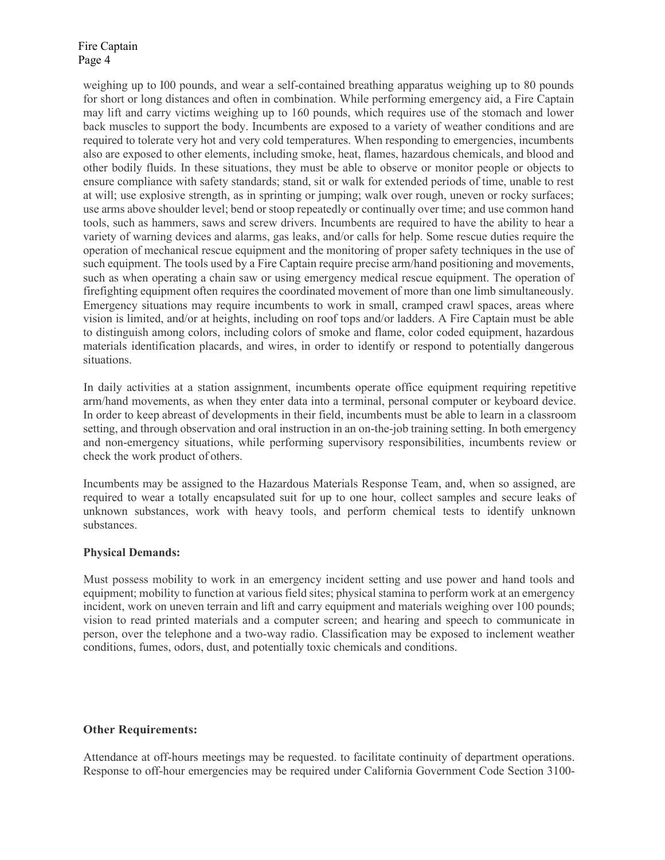Fire Captain Page 4

weighing up to I00 pounds, and wear a self-contained breathing apparatus weighing up to 80 pounds for short or long distances and often in combination. While performing emergency aid, a Fire Captain may lift and carry victims weighing up to 160 pounds, which requires use of the stomach and lower back muscles to support the body. Incumbents are exposed to a variety of weather conditions and are required to tolerate very hot and very cold temperatures. When responding to emergencies, incumbents also are exposed to other elements, including smoke, heat, flames, hazardous chemicals, and blood and other bodily fluids. In these situations, they must be able to observe or monitor people or objects to ensure compliance with safety standards; stand, sit or walk for extended periods of time, unable to rest at will; use explosive strength, as in sprinting or jumping; walk over rough, uneven or rocky surfaces; use arms above shoulder level; bend or stoop repeatedly or continually over time; and use common hand tools, such as hammers, saws and screw drivers. Incumbents are required to have the ability to hear a variety of warning devices and alarms, gas leaks, and/or calls for help. Some rescue duties require the operation of mechanical rescue equipment and the monitoring of proper safety techniques in the use of such equipment. The tools used by a Fire Captain require precise arm/hand positioning and movements, such as when operating a chain saw or using emergency medical rescue equipment. The operation of firefighting equipment often requires the coordinated movement of more than one limb simultaneously. Emergency situations may require incumbents to work in small, cramped crawl spaces, areas where vision is limited, and/or at heights, including on roof tops and/or ladders. A Fire Captain must be able to distinguish among colors, including colors of smoke and flame, color coded equipment, hazardous materials identification placards, and wires, in order to identify or respond to potentially dangerous situations.

In daily activities at a station assignment, incumbents operate office equipment requiring repetitive arm/hand movements, as when they enter data into a terminal, personal computer or keyboard device. In order to keep abreast of developments in their field, incumbents must be able to learn in a classroom setting, and through observation and oral instruction in an on-the-job training setting. In both emergency and non-emergency situations, while performing supervisory responsibilities, incumbents review or check the work product of others.

Incumbents may be assigned to the Hazardous Materials Response Team, and, when so assigned, are required to wear a totally encapsulated suit for up to one hour, collect samples and secure leaks of unknown substances, work with heavy tools, and perform chemical tests to identify unknown substances.

#### **Physical Demands:**

Must possess mobility to work in an emergency incident setting and use power and hand tools and equipment; mobility to function at various field sites; physical stamina to perform work at an emergency incident, work on uneven terrain and lift and carry equipment and materials weighing over 100 pounds; vision to read printed materials and a computer screen; and hearing and speech to communicate in person, over the telephone and a two-way radio. Classification may be exposed to inclement weather conditions, fumes, odors, dust, and potentially toxic chemicals and conditions.

#### **Other Requirements:**

Attendance at off-hours meetings may be requested. to facilitate continuity of department operations. Response to off-hour emergencies may be required under California Government Code Section 3100